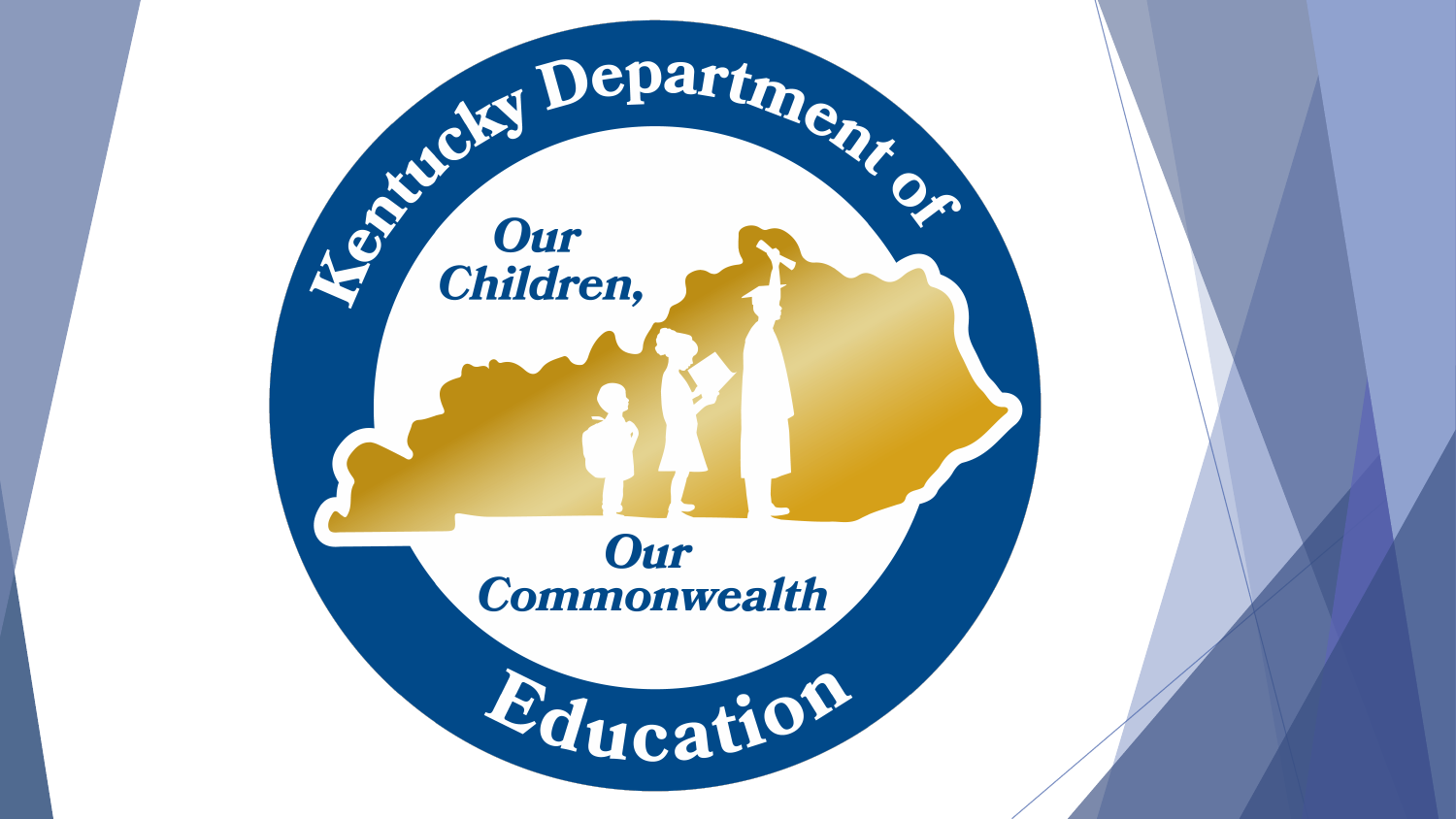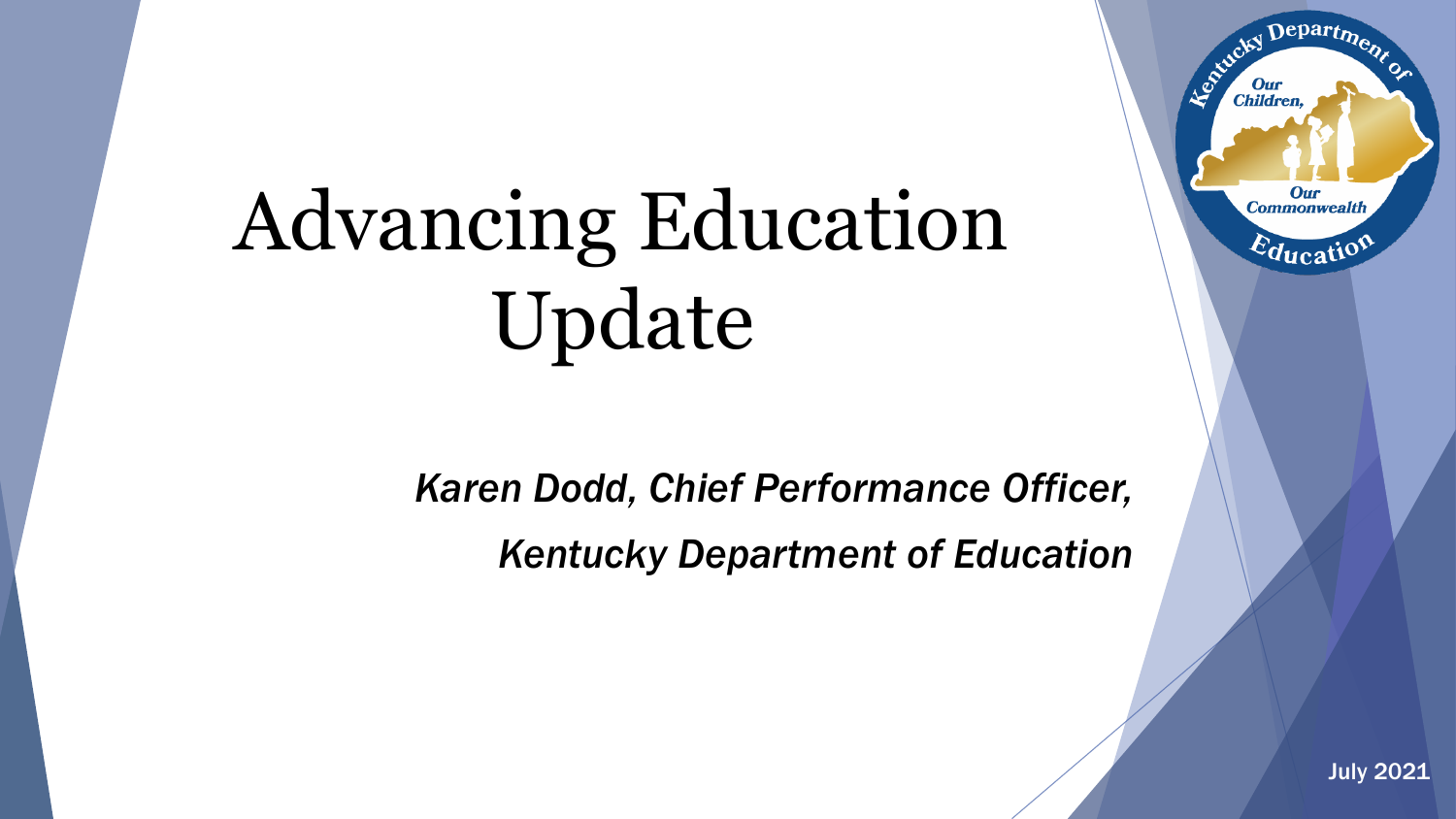# Advancing Education Update

*Karen Dodd, Chief Performance Officer, Kentucky Department of Education*



Departme.

Our **Commonwealth** 

 $E_{\text{ducatio}}$ 

Agencies I

**Our**<br>Children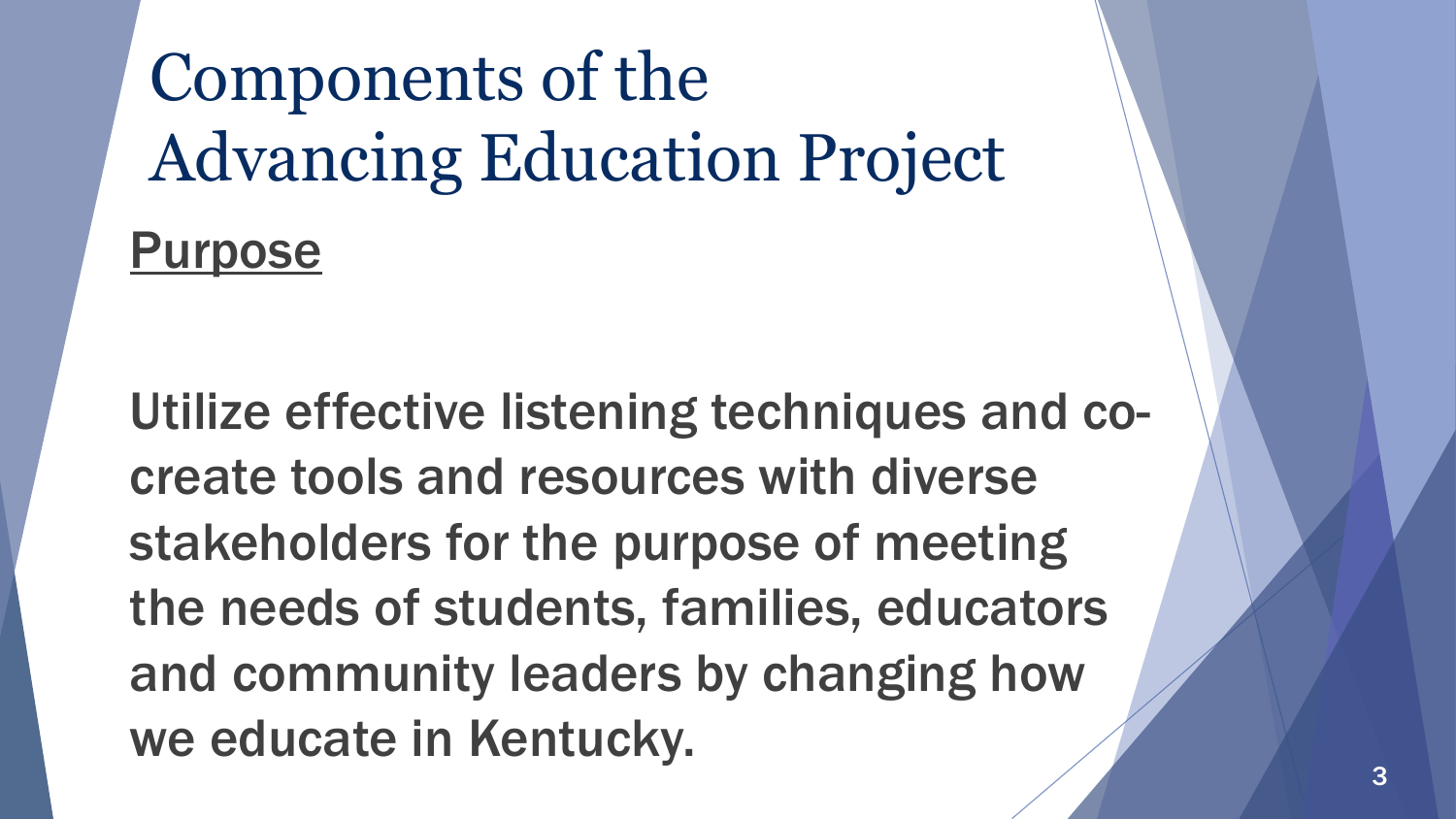Components of the Advancing Education Project **Purpose** 

Utilize effective listening techniques and cocreate tools and resources with diverse stakeholders for the purpose of meeting the needs of students, families, educators and community leaders by changing how we educate in Kentucky.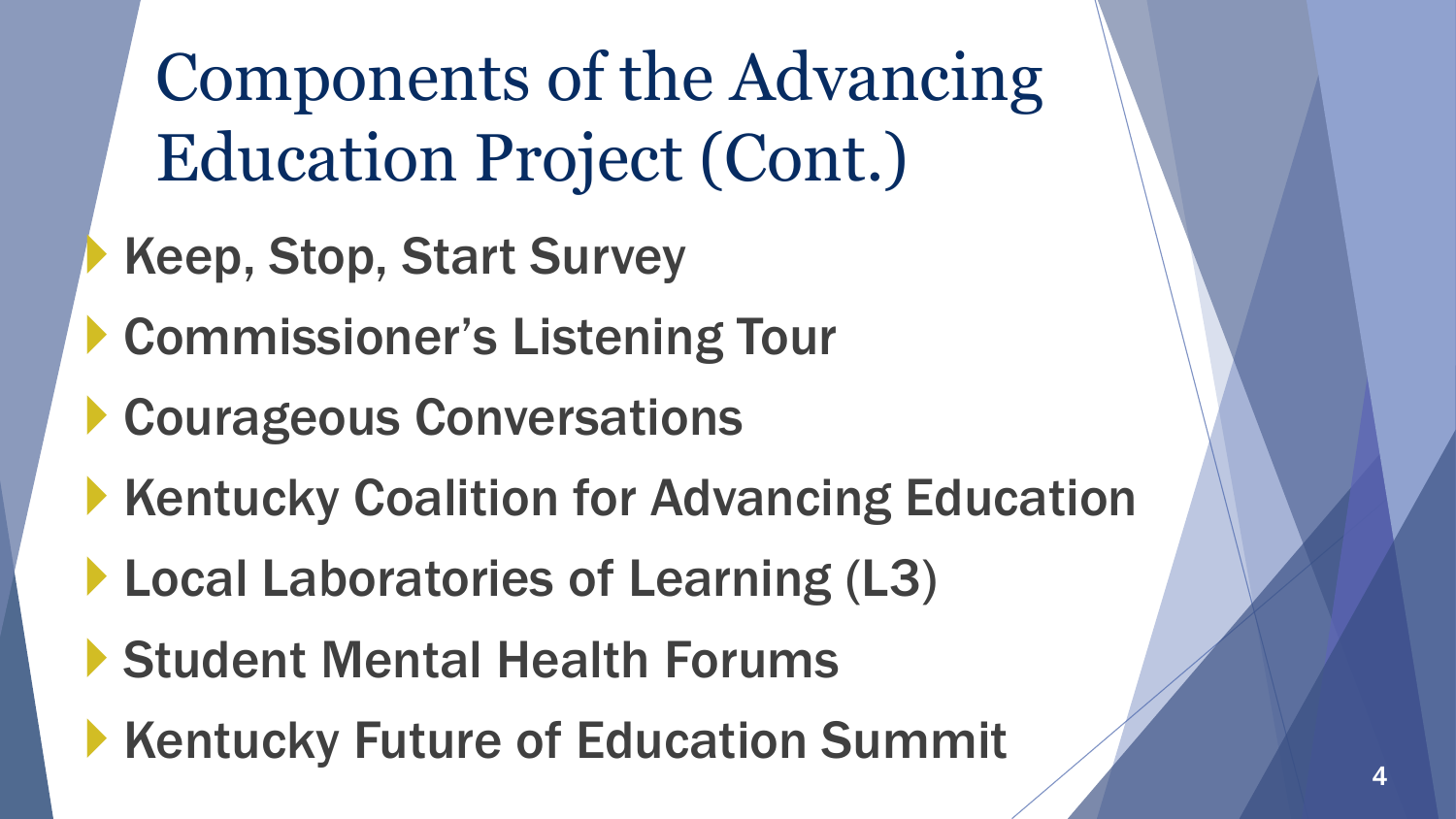Components of the Advancing Education Project (Cont.)

- Keep, Stop, Start Survey
- Commissioner's Listening Tour
- Courageous Conversations
- Kentucky Coalition for Advancing Education
- **Local Laboratories of Learning (L3)**
- Student Mental Health Forums
- Kentucky Future of Education Summit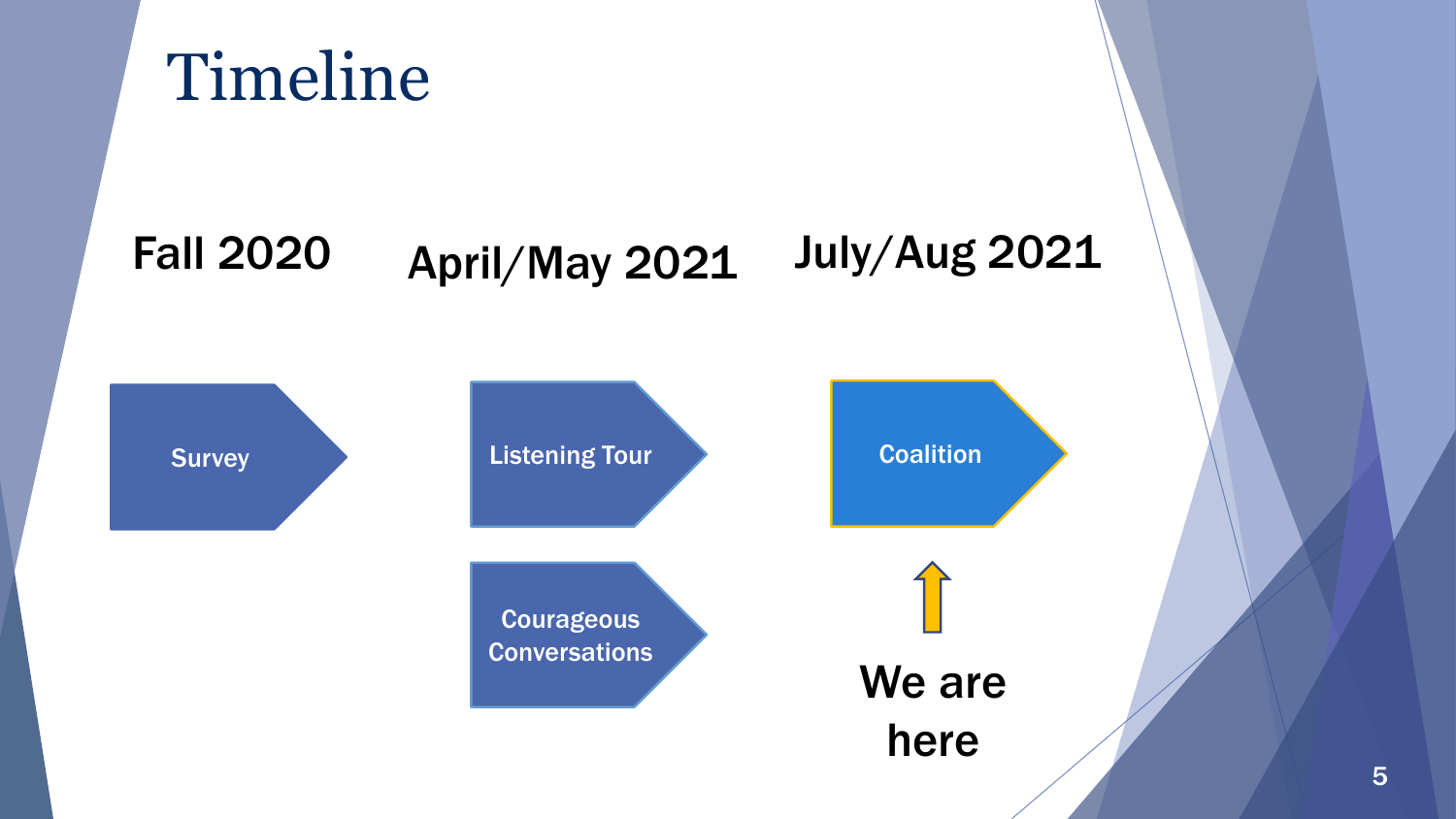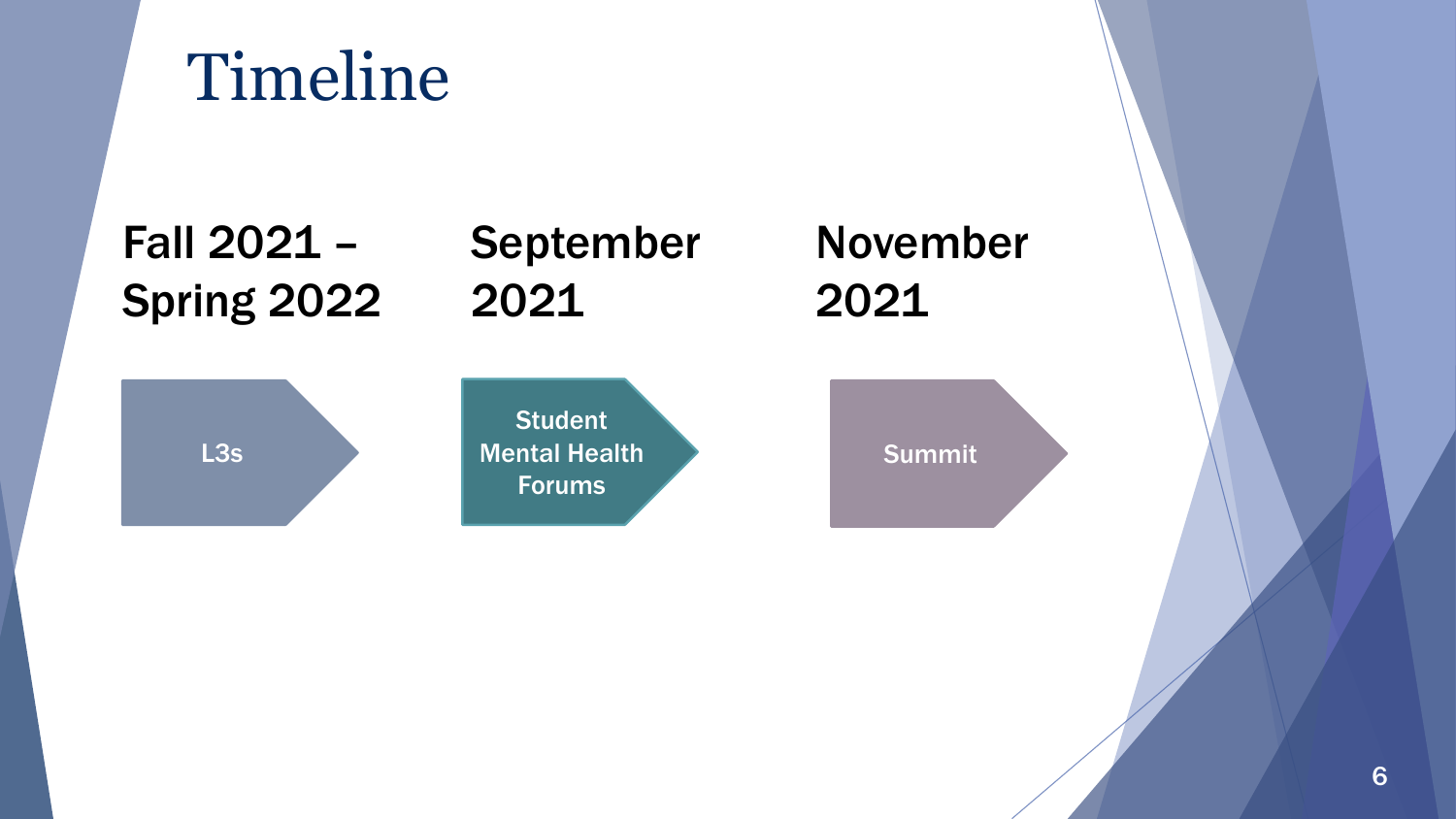# Timeline

Fall 2021 – Spring 2022

### September 2021



**Student** Mental Health Forums

November 2021

Summit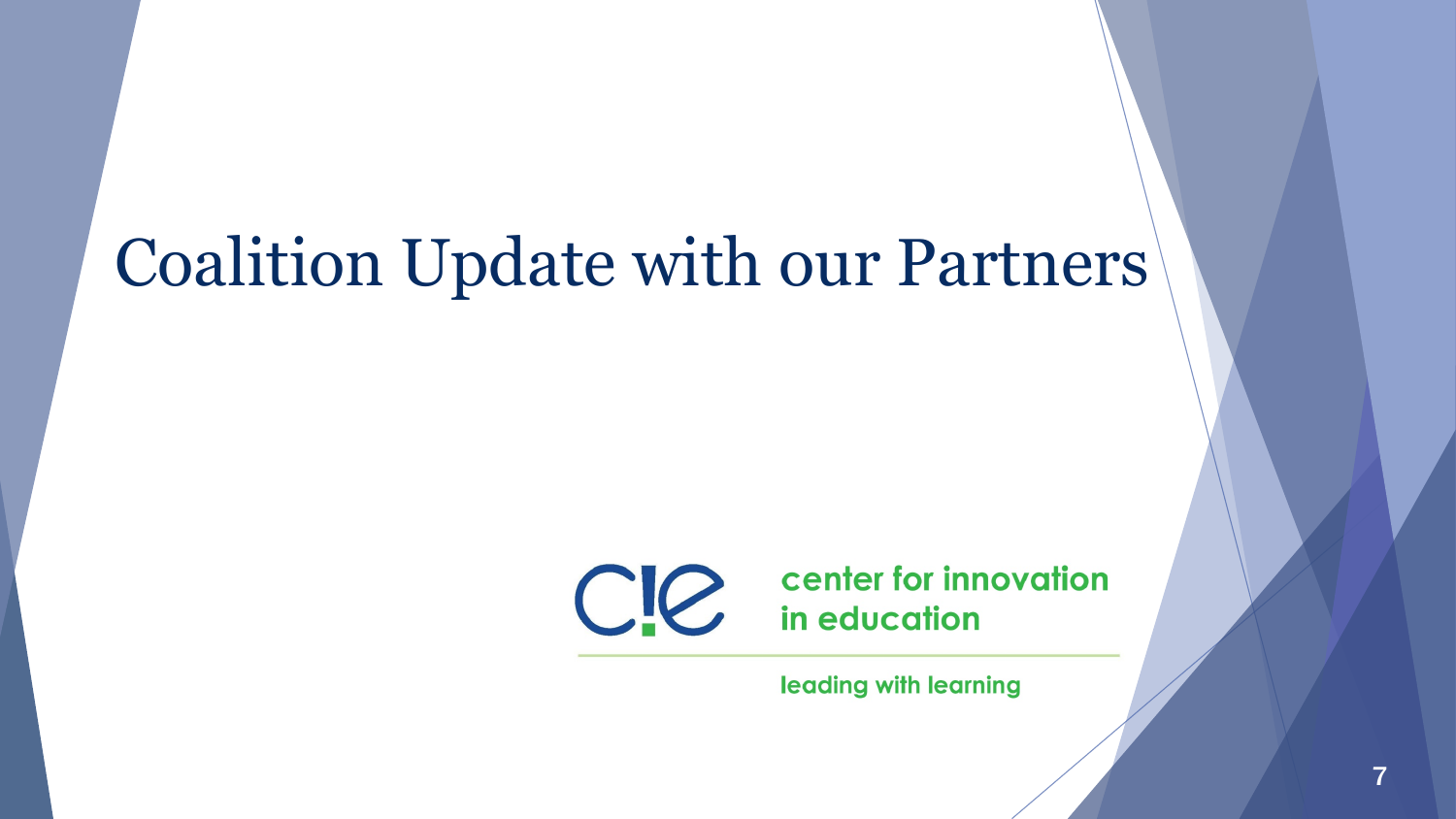# Coalition Update with our Partners



leading with learning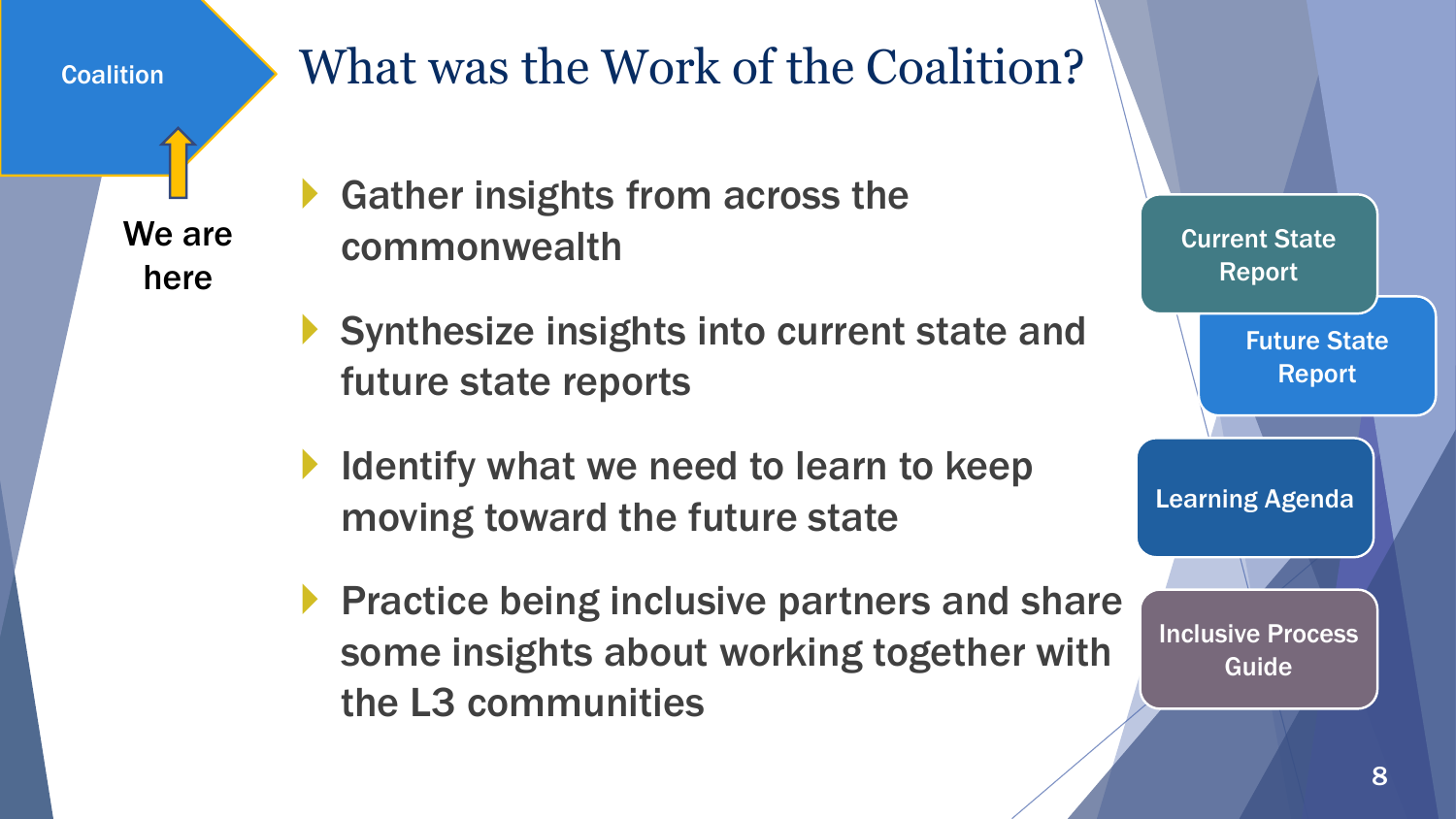**Coalition** 

### What was the Work of the Coalition?

We are here

- ▶ Gather insights from across the commonwealth
- Synthesize insights into current state and future state reports
- I Identify what we need to learn to keep moving toward the future state
- **Practice being inclusive partners and share** some insights about working together with the L3 communities

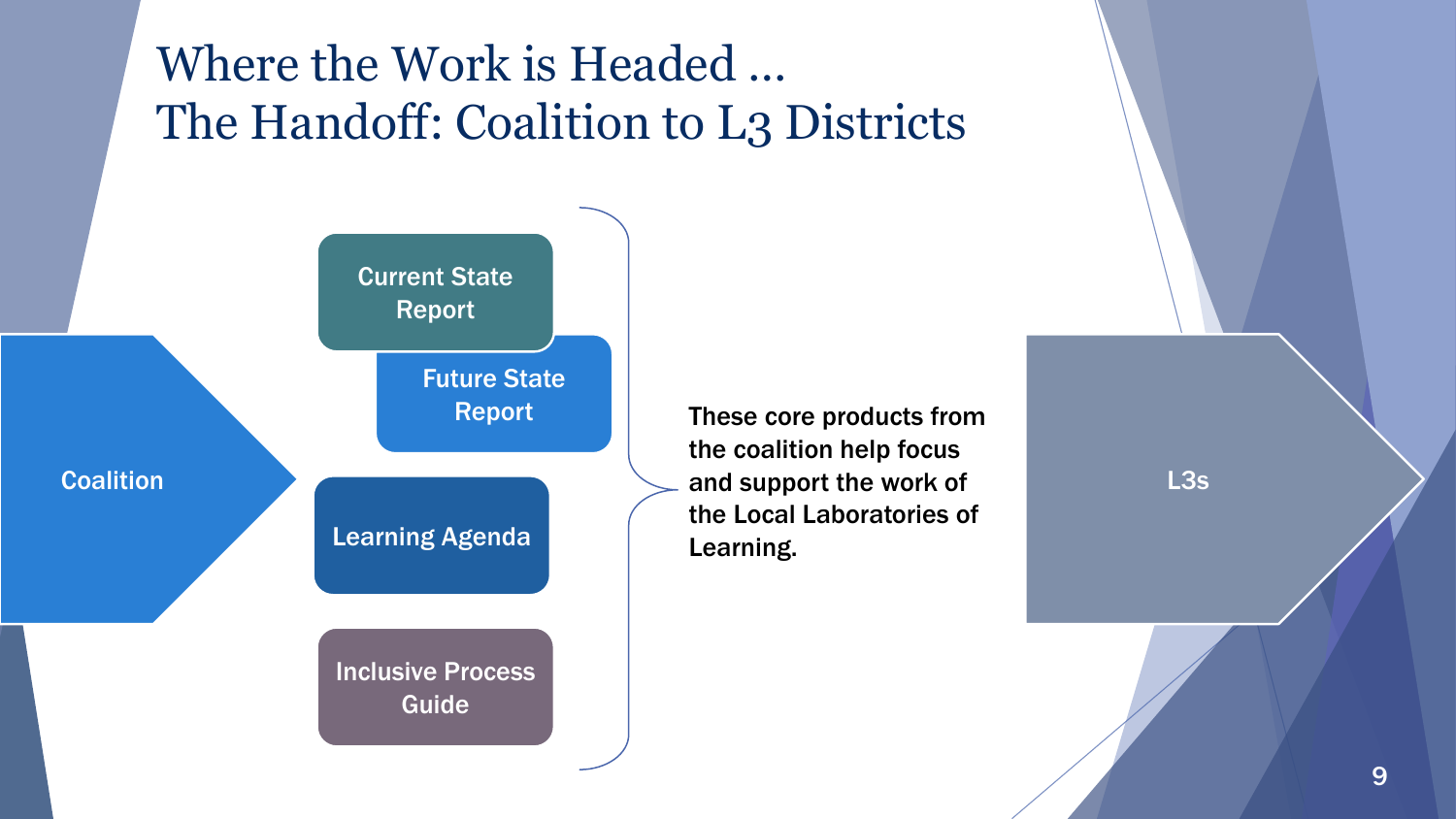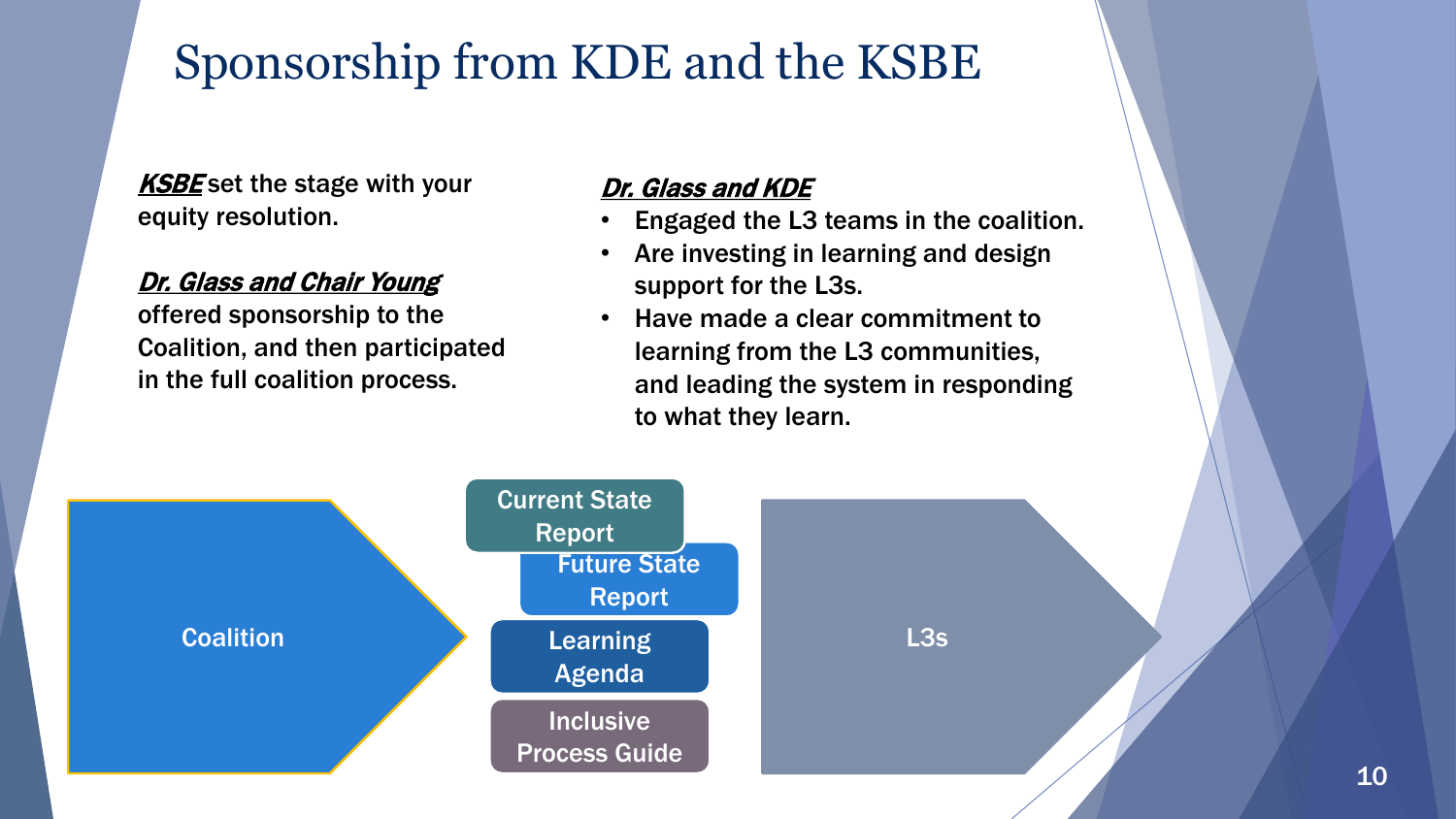### Sponsorship from KDE and the KSBE

**KSBE** set the stage with your equity resolution.

#### Dr. Glass and Chair Young

offered sponsorship to the Coalition, and then participated in the full coalition process.

#### Dr. Glass and KDE

- Engaged the L3 teams in the coalition.
- Are investing in learning and design support for the L3s.
- Have made a clear commitment to learning from the L3 communities, and leading the system in responding to what they learn.

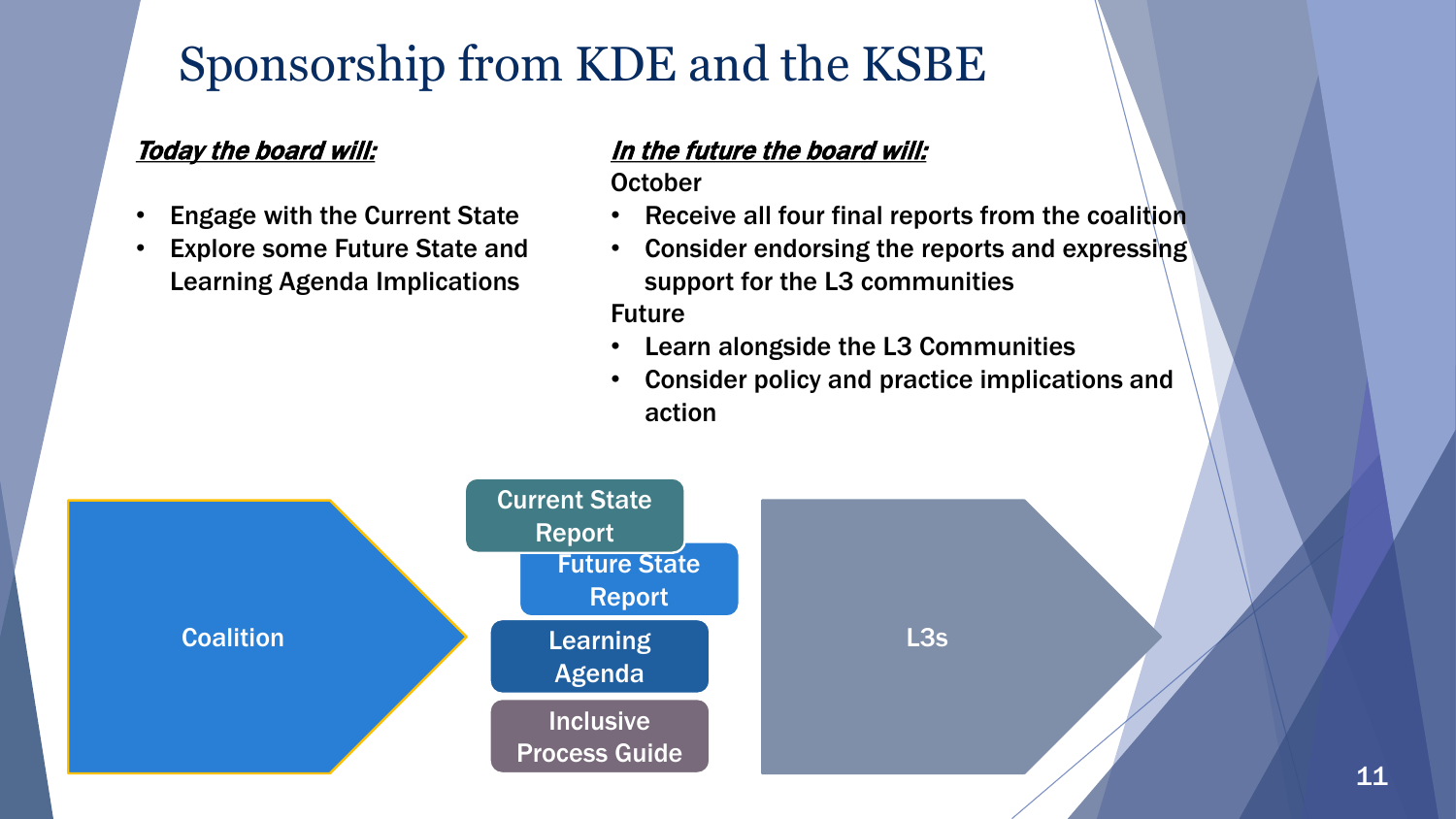### Sponsorship from KDE and the KSBE

#### Today the board will:

- Engage with the Current State
- **Explore some Future State and** Learning Agenda Implications

#### In the future the board will:

**October** 

- Receive all four final reports from the coalition
- Consider endorsing the reports and expressing support for the L3 communities Future
- Learn alongside the L3 Communities
- Consider policy and practice implications and action

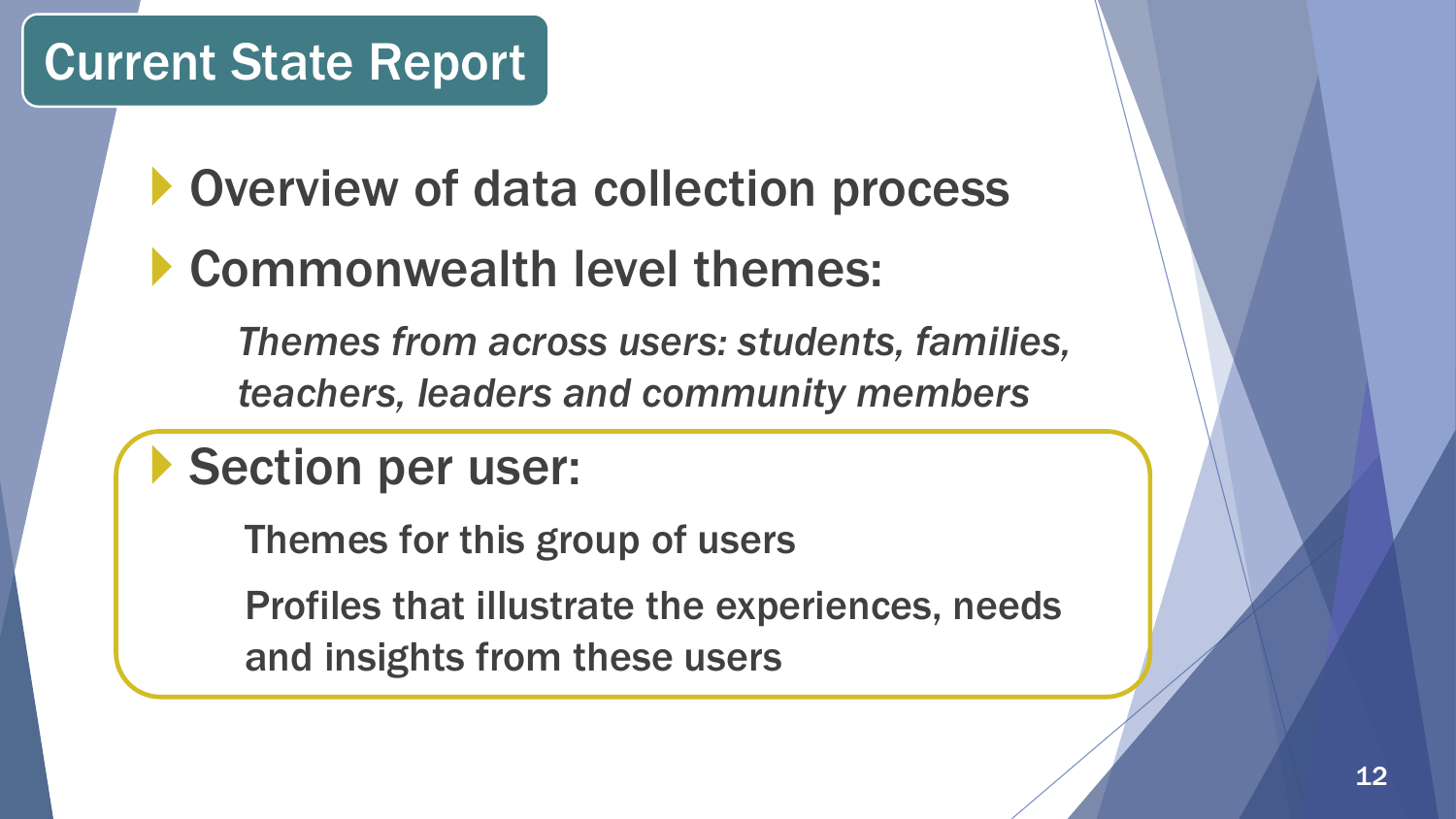**Overview of data collection process** 

### Commonwealth level themes:

*Themes from across users: students, families, teachers, leaders and community members*

### Section per user:

Themes for this group of users

Profiles that illustrate the experiences, needs and insights from these users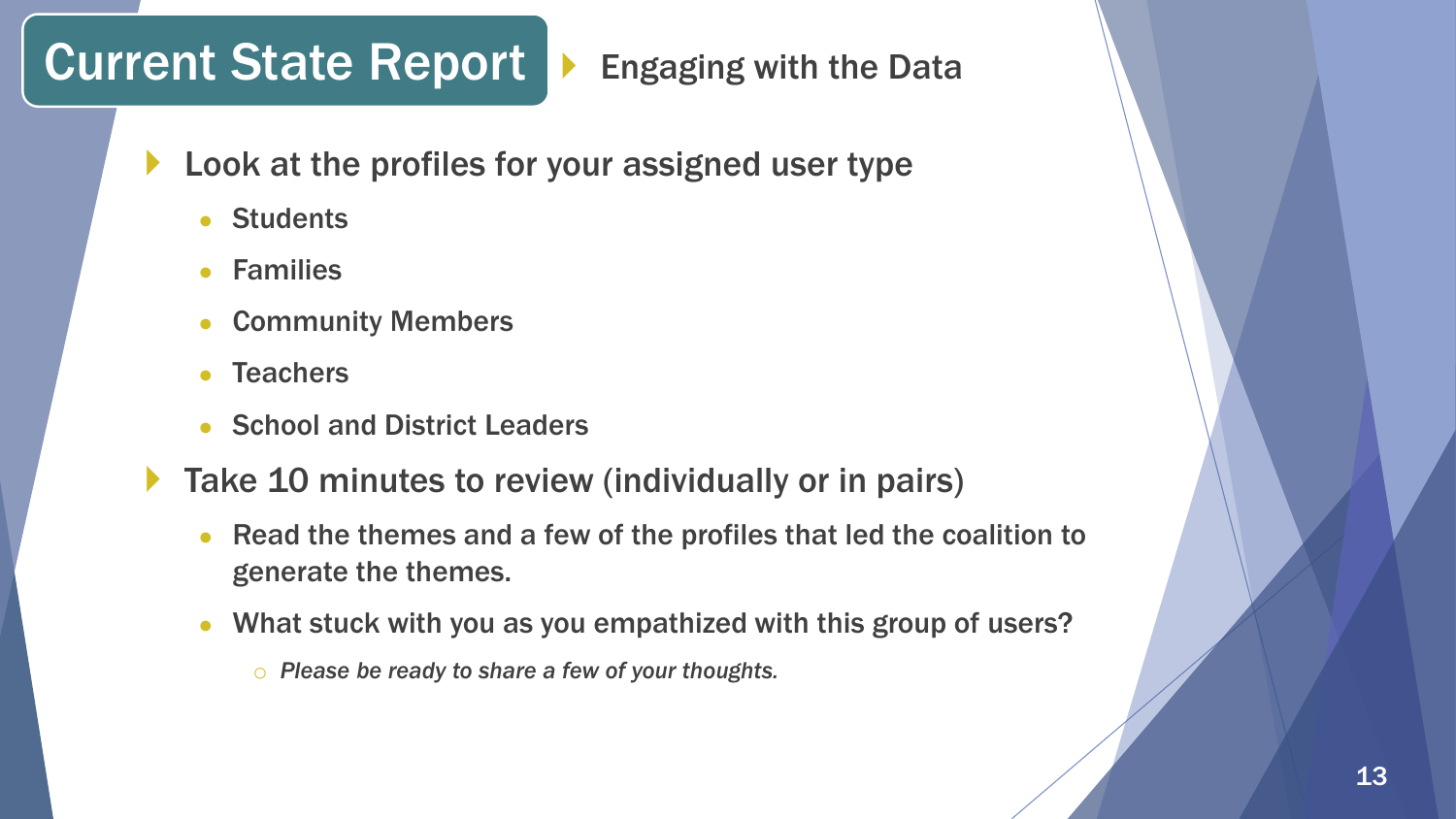### Current State Report  $\blacktriangleright$  Engaging with the Data

- **Look at the profiles for your assigned user type** 
	- Students
	- **Families**
	- **Community Members**
	- **Teachers**
	- School and District Leaders
- Take 10 minutes to review (individually or in pairs)
	- Read the themes and a few of the profiles that led the coalition to generate the themes.
	- What stuck with you as you empathized with this group of users?
		- o *Please be ready to share a few of your thoughts.*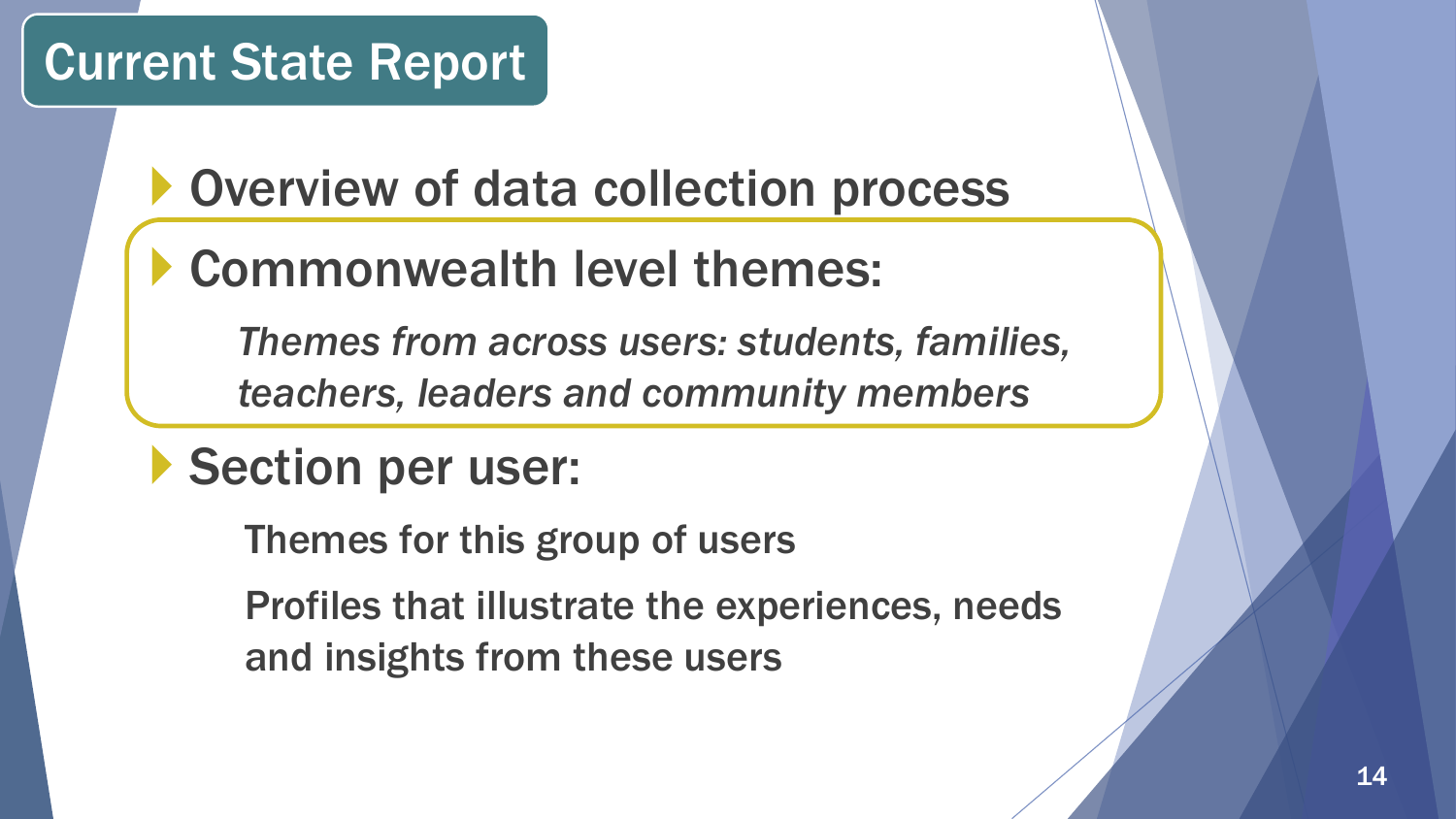### Overview of data collection process

### Commonwealth level themes:

*Themes from across users: students, families, teachers, leaders and community members*

### Section per user:

Themes for this group of users

Profiles that illustrate the experiences, needs and insights from these users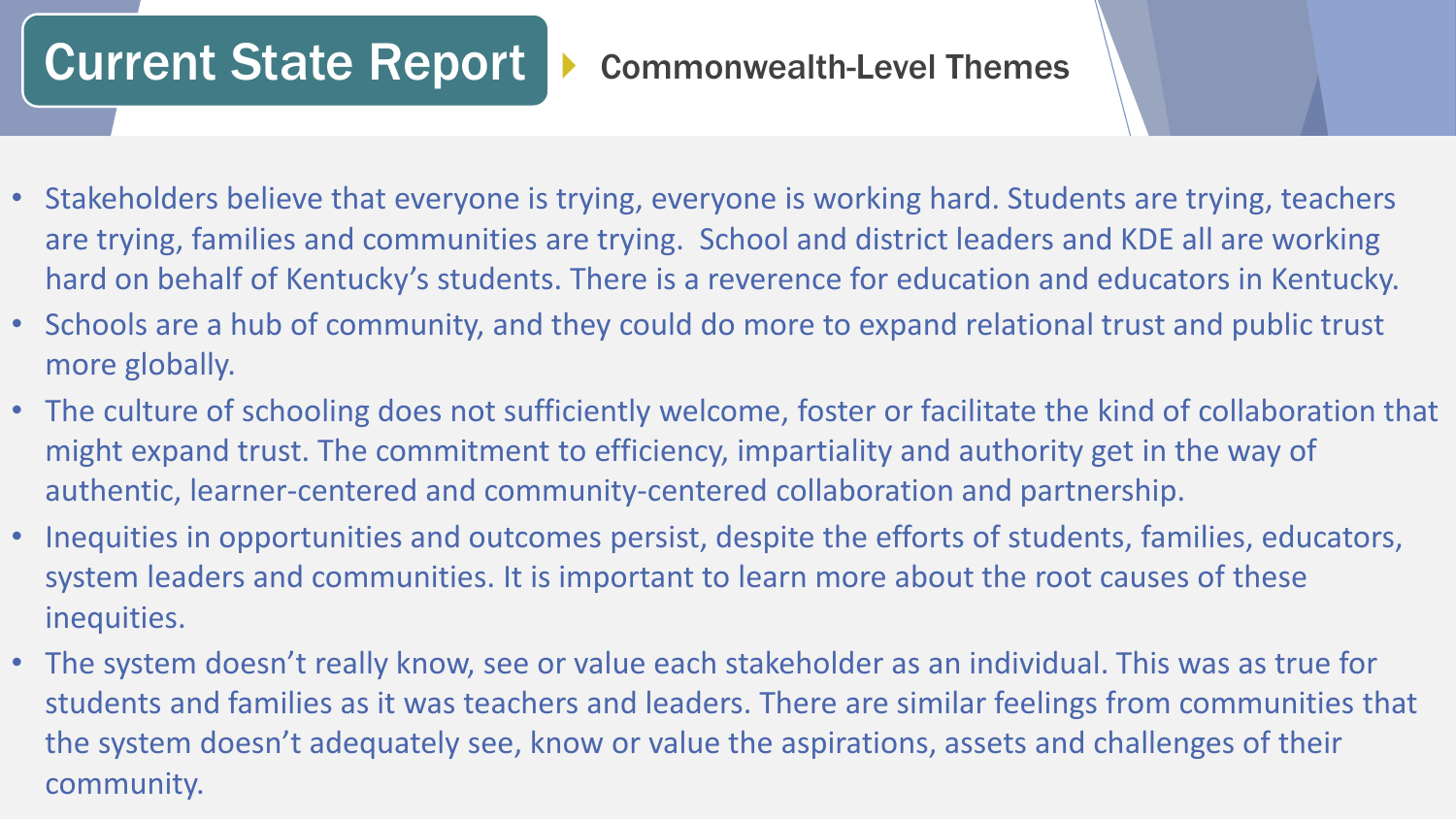### Current State Report > Commonwealth-Level Themes

- Stakeholders believe that everyone is trying, everyone is working hard. Students are trying, teachers are trying, families and communities are trying. School and district leaders and KDE all are working hard on behalf of Kentucky's students. There is a reverence for education and educators in Kentucky.
- Schools are a hub of community, and they could do more to expand relational trust and public trust more globally.
- The culture of schooling does not sufficiently welcome, foster or facilitate the kind of collaboration that might expand trust. The commitment to efficiency, impartiality and authority get in the way of authentic, learner-centered and community-centered collaboration and partnership.
- Inequities in opportunities and outcomes persist, despite the efforts of students, families, educators, system leaders and communities. It is important to learn more about the root causes of these inequities.
- The system doesn't really know, see or value each stakeholder as an individual. This was as true for students and families as it was teachers and leaders. There are similar feelings from communities that the system doesn't adequately see, know or value the aspirations, assets and challenges of their community.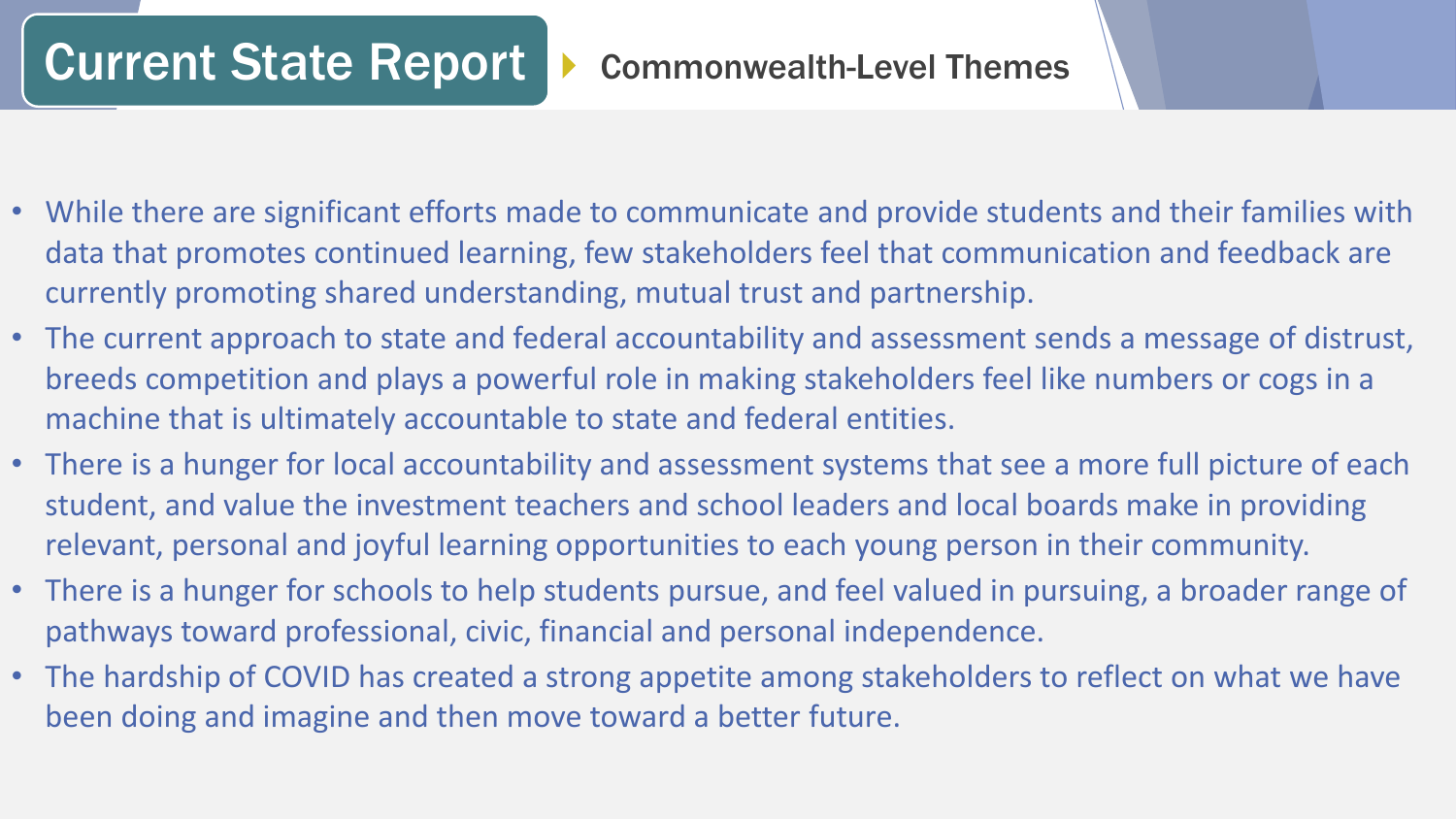### Current State Report | Commonwealth-Level Themes

- While there are significant efforts made to communicate and provide students and their families with data that promotes continued learning, few stakeholders feel that communication and feedback are currently promoting shared understanding, mutual trust and partnership.
- The current approach to state and federal accountability and assessment sends a message of distrust, breeds competition and plays a powerful role in making stakeholders feel like numbers or cogs in a machine that is ultimately accountable to state and federal entities.
- There is a hunger for local accountability and assessment systems that see a more full picture of each student, and value the investment teachers and school leaders and local boards make in providing relevant, personal and joyful learning opportunities to each young person in their community.
- There is a hunger for schools to help students pursue, and feel valued in pursuing, a broader range of pathways toward professional, civic, financial and personal independence.
- The hardship of COVID has created a strong appetite among stakeholders to reflect on what we have been doing and imagine and then move toward a better future.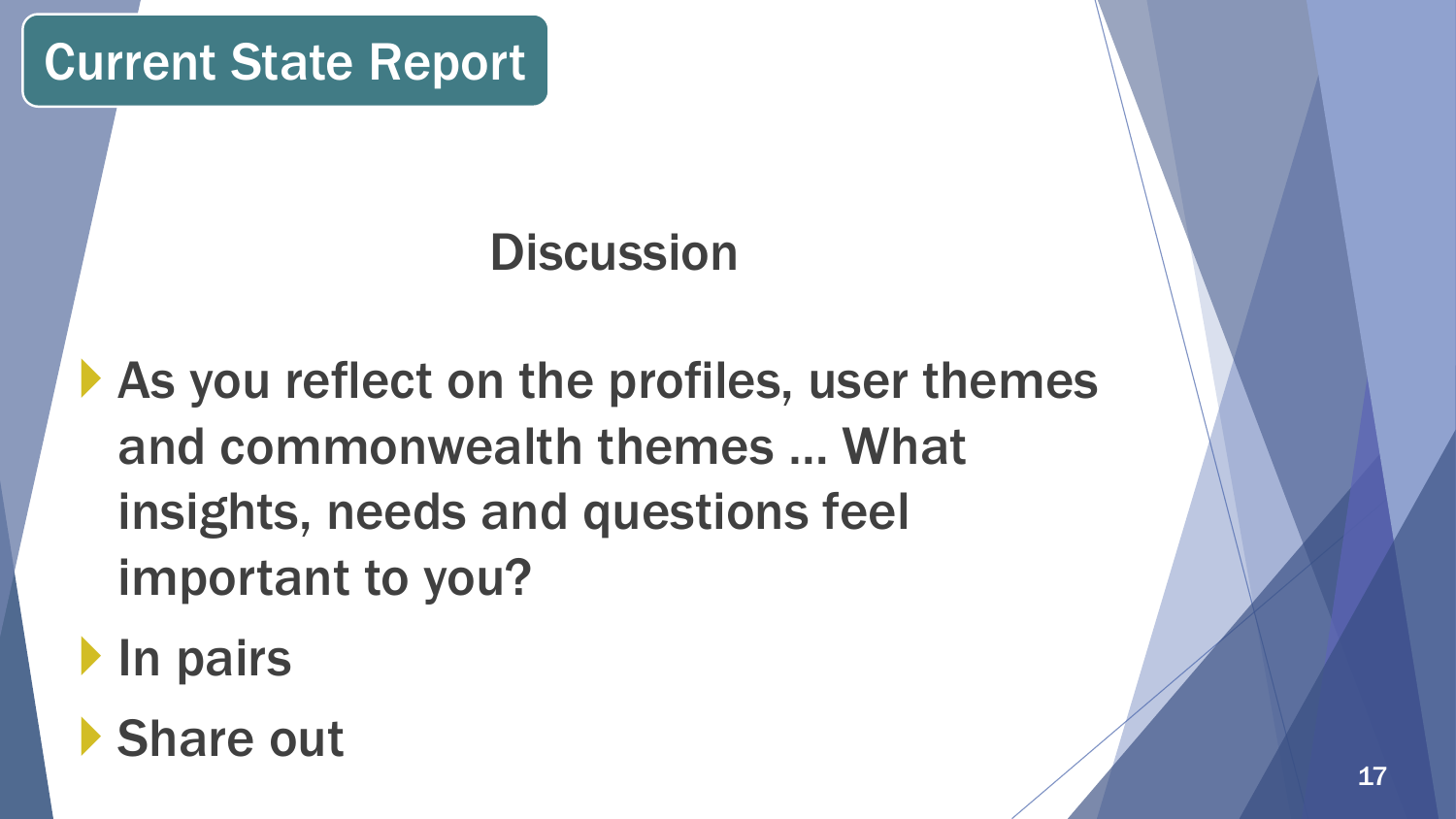## **Discussion**

- As you reflect on the profiles, user themes and commonwealth themes … What insights, needs and questions feel important to you?
- **In pairs**
- Share out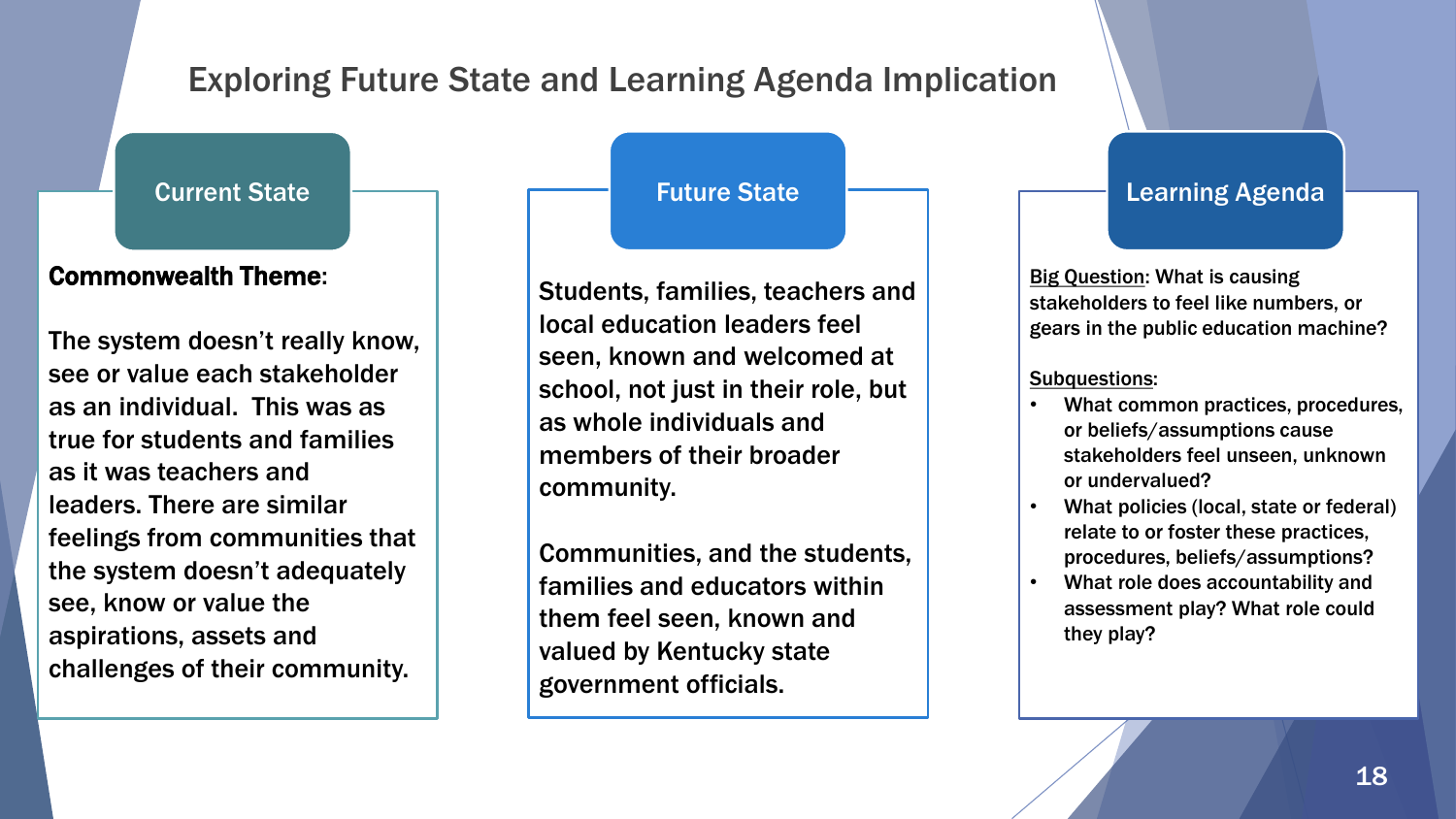### Exploring Future State and Learning Agenda Implication

Current State

#### Commonwealth Theme:

The system doesn't really know, see or value each stakeholder as an individual. This was as true for students and families as it was teachers and leaders. There are similar feelings from communities that the system doesn't adequately see, know or value the aspirations, assets and challenges of their community.

#### Future State

Students, families, teachers and local education leaders feel seen, known and welcomed at school, not just in their role, but as whole individuals and members of their broader community.

Communities, and the students, families and educators within them feel seen, known and valued by Kentucky state government officials.

#### Learning Agenda

**Big Question: What is causing** stakeholders to feel like numbers, or gears in the public education machine?

#### Subquestions:

- What common practices, procedures, or beliefs/assumptions cause stakeholders feel unseen, unknown or undervalued?
- What policies (local, state or federal) relate to or foster these practices, procedures, beliefs/assumptions?
- What role does accountability and assessment play? What role could they play?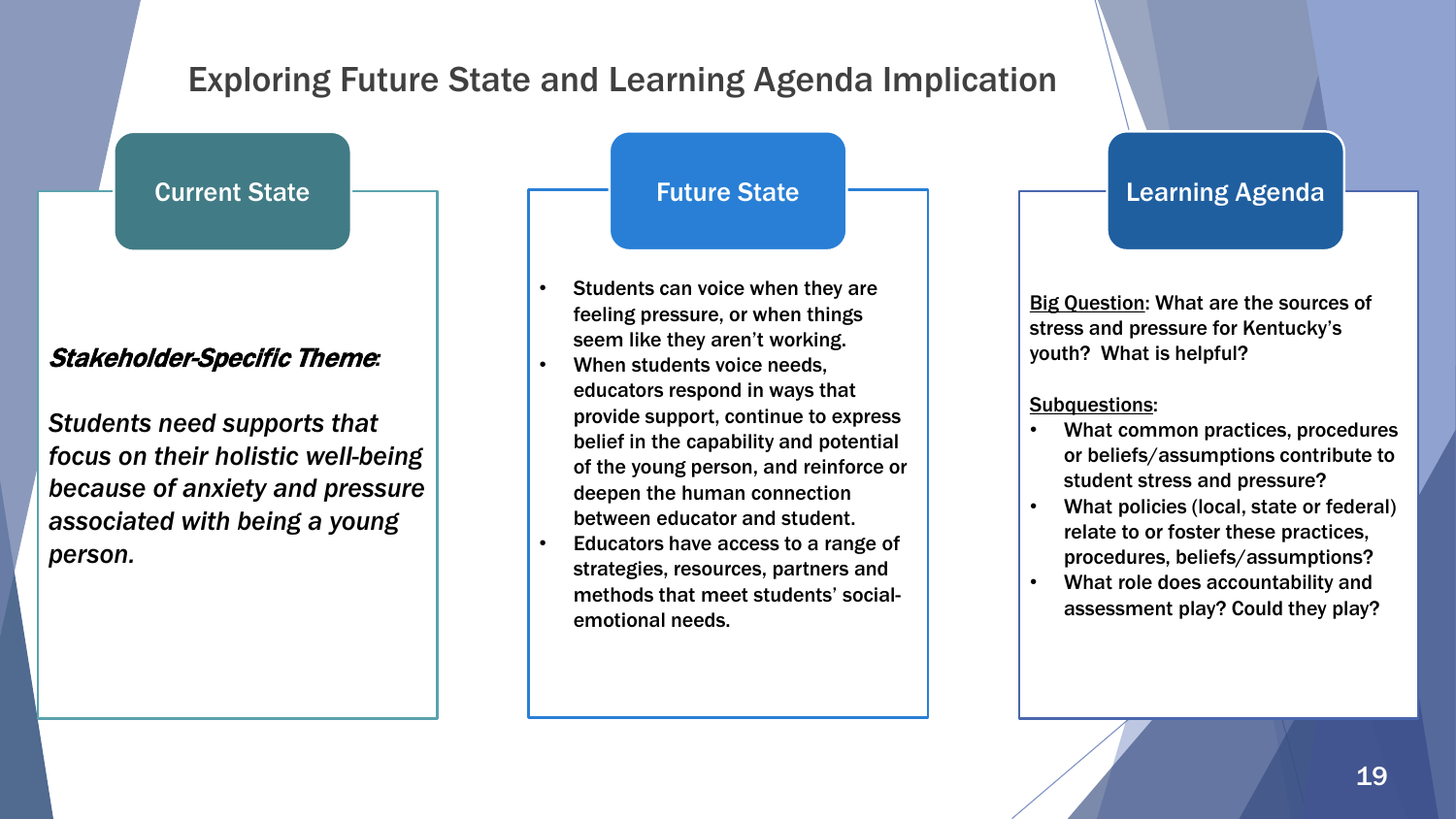### Exploring Future State and Learning Agenda Implication

Current State

#### Stakeholder-Specific Theme*:*

*Students need supports that focus on their holistic well-being because of anxiety and pressure associated with being a young person.*

Future State

- Students can voice when they are feeling pressure, or when things seem like they aren't working.
- When students voice needs, educators respond in ways that provide support, continue to express belief in the capability and potential of the young person, and reinforce or deepen the human connection between educator and student.
- Educators have access to a range of strategies, resources, partners and methods that meet students' socialemotional needs.

Learning Agenda

Big Question: What are the sources of stress and pressure for Kentucky's youth? What is helpful?

Subquestions:

- What common practices, procedures or beliefs/assumptions contribute to student stress and pressure?
- What policies (local, state or federal) relate to or foster these practices, procedures, beliefs/assumptions?
- What role does accountability and assessment play? Could they play?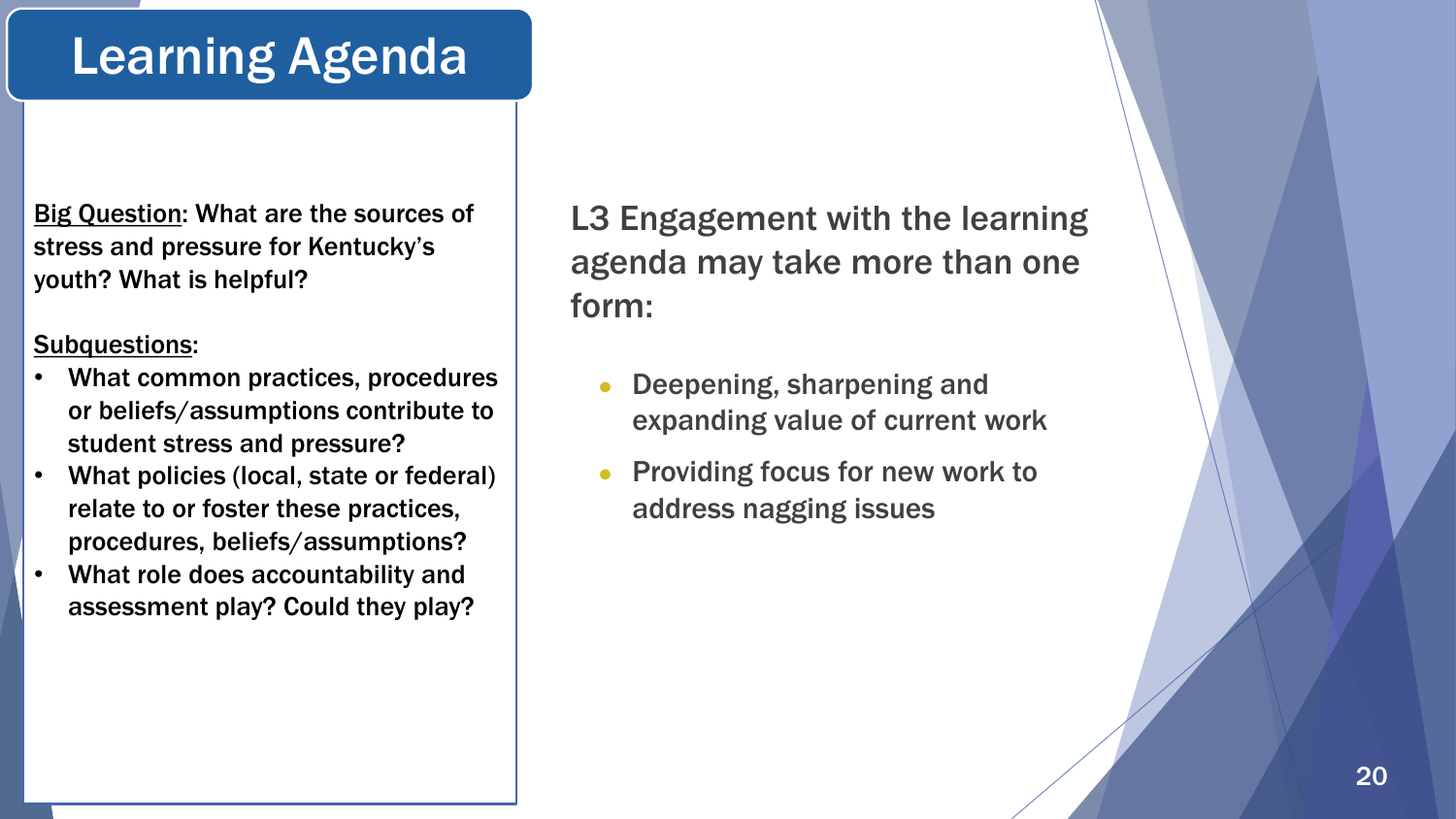### Learning Agenda

Big Question: What are the sources of stress and pressure for Kentucky's youth? What is helpful?

#### Subquestions:

- What common practices, procedures or beliefs/assumptions contribute to student stress and pressure?
- What policies (local, state or federal) relate to or foster these practices, procedures, beliefs/assumptions?
- What role does accountability and assessment play? Could they play?

L3 Engagement with the learning agenda may take more than one form:

- Deepening, sharpening and expanding value of current work
- Providing focus for new work to address nagging issues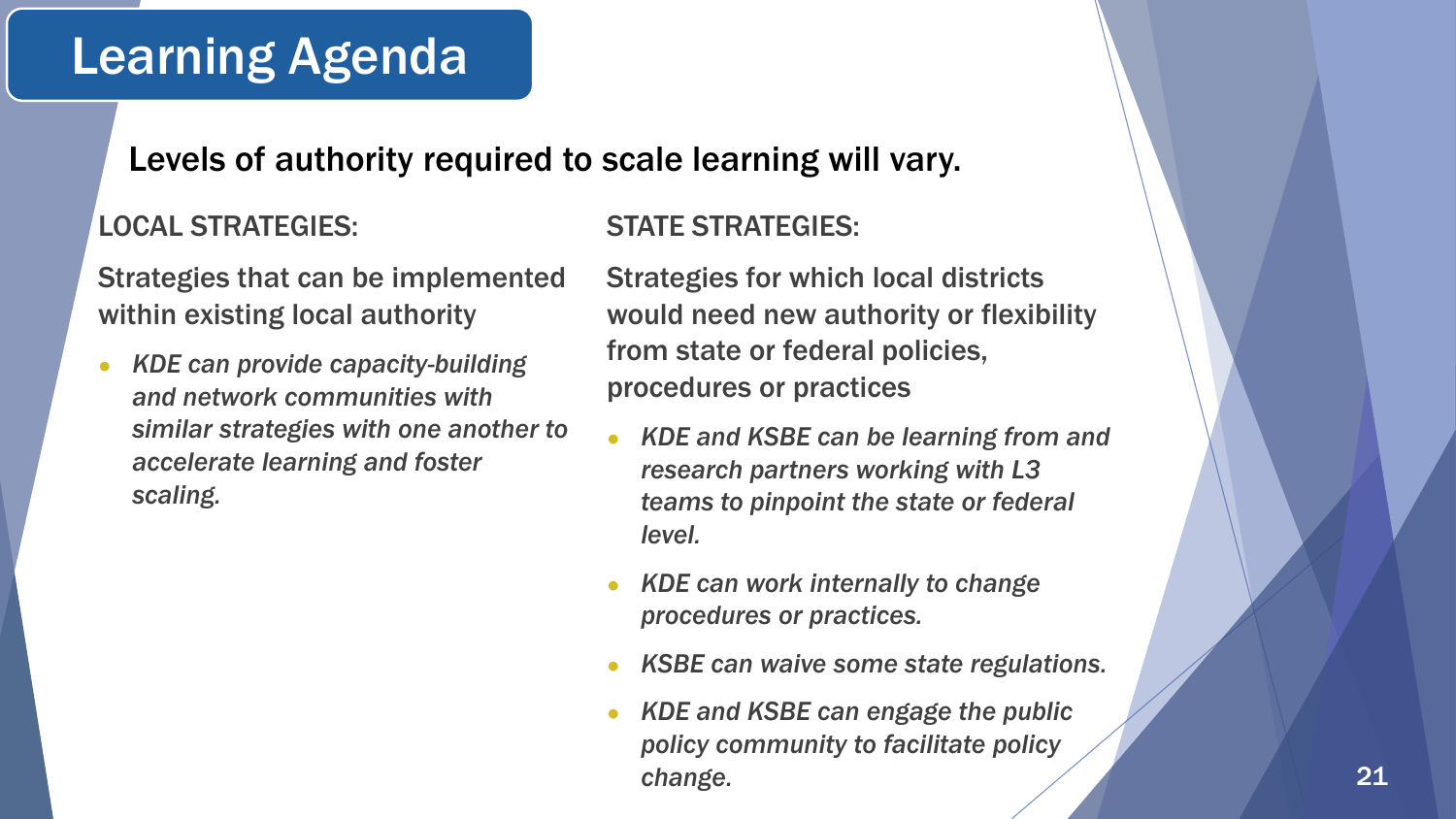### Learning Agenda

#### Levels of authority required to scale learning will vary.

#### LOCAL STRATEGIES:

Strategies that can be implemented within existing local authority

● *KDE can provide capacity-building and network communities with similar strategies with one another to accelerate learning and foster scaling.* 

#### STATE STRATEGIES:

Strategies for which local districts would need new authority or flexibility from state or federal policies, procedures or practices

- **KDE and KSBE can be learning from and** *research partners working with L3 teams to pinpoint the state or federal level.*
- *KDE can work internally to change procedures or practices.*
- *KSBE can waive some state regulations.*
- *KDE and KSBE can engage the public policy community to facilitate policy change.*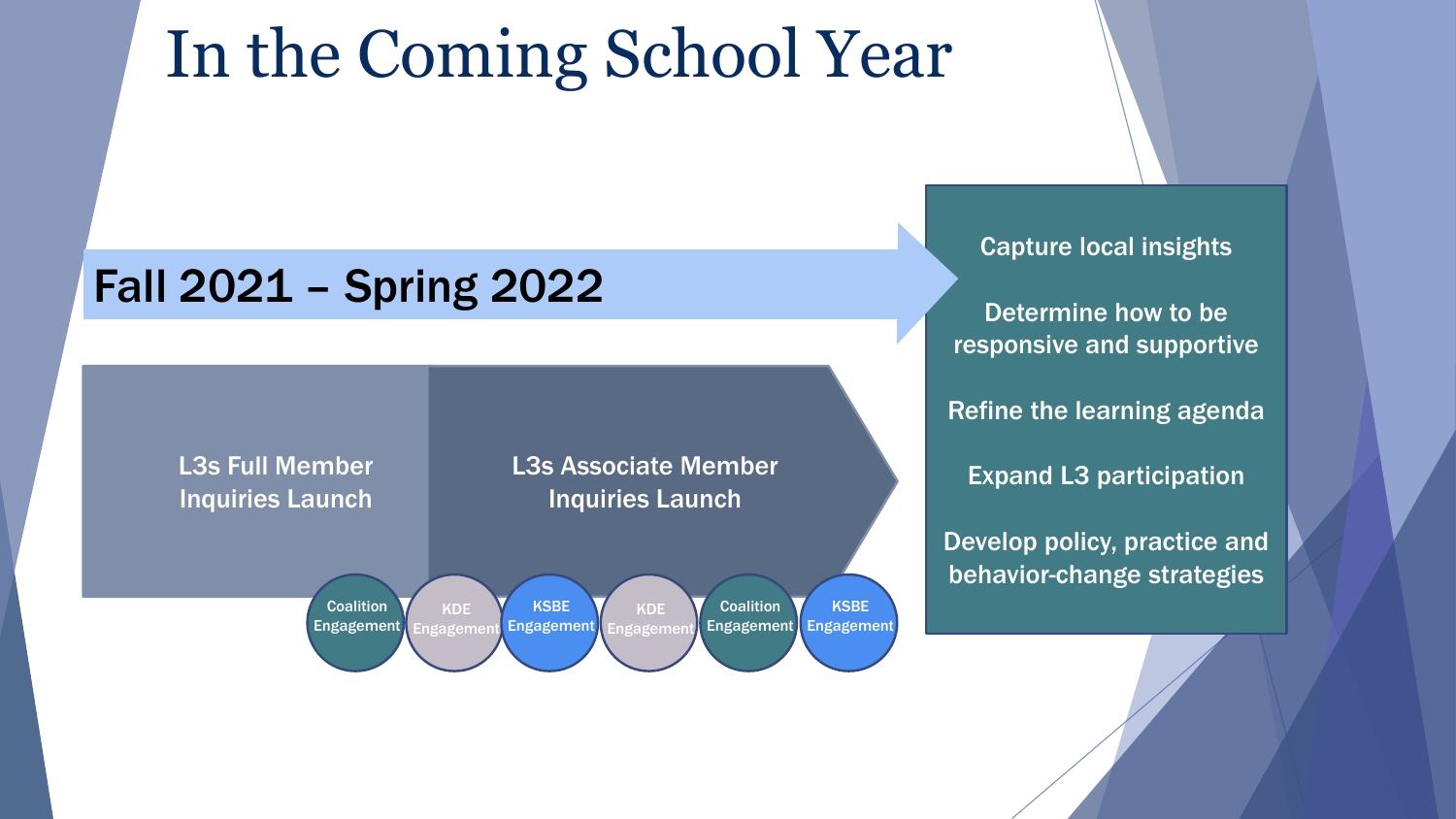# In the Coming School Year

### Fall 2021 – Spring 2022



Capture local insights

Determine how to be responsive and supportive

Refine the learning agenda

Expand L3 participation

Develop policy, practice and behavior-change strategies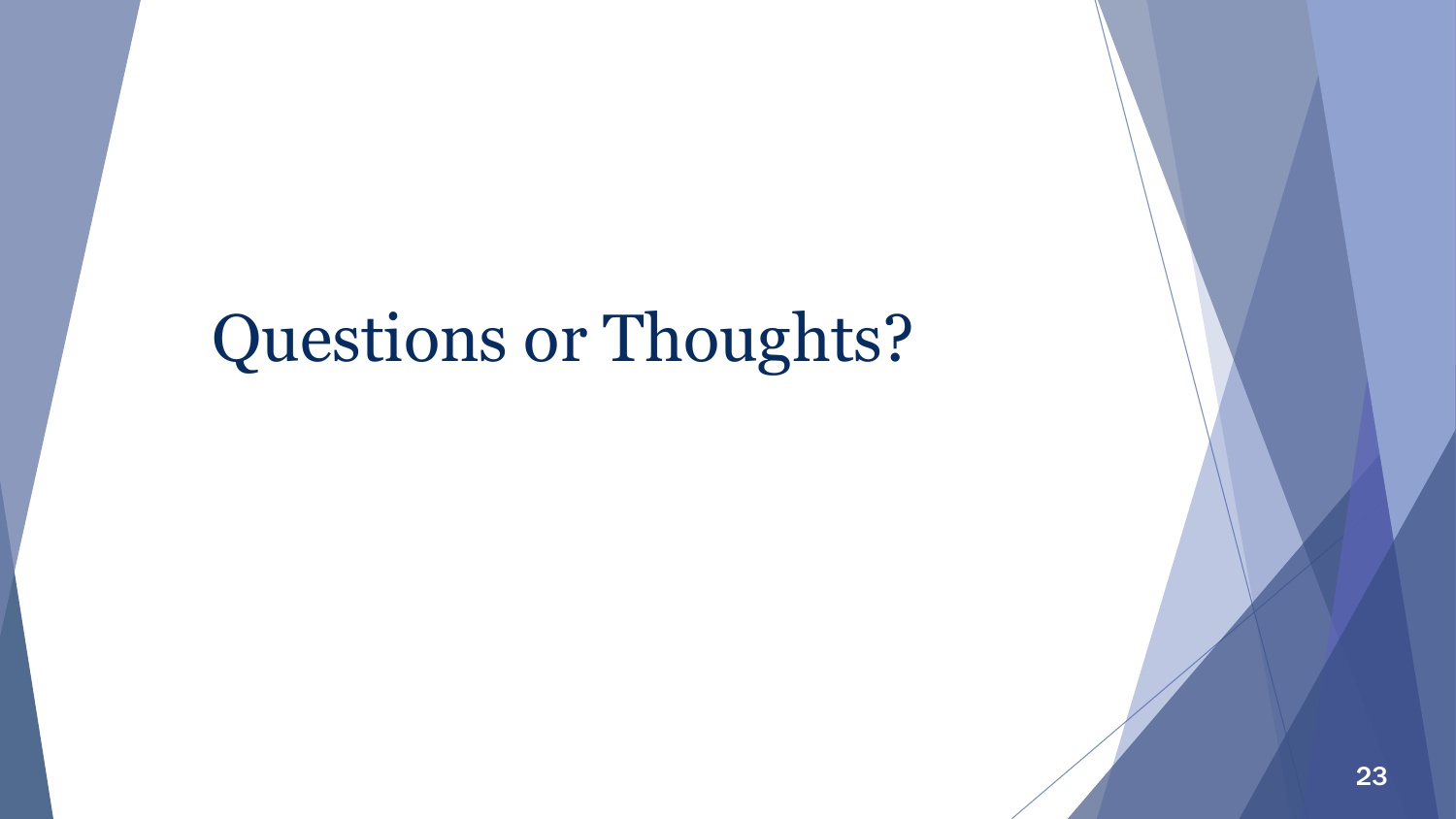# Questions or Thoughts?